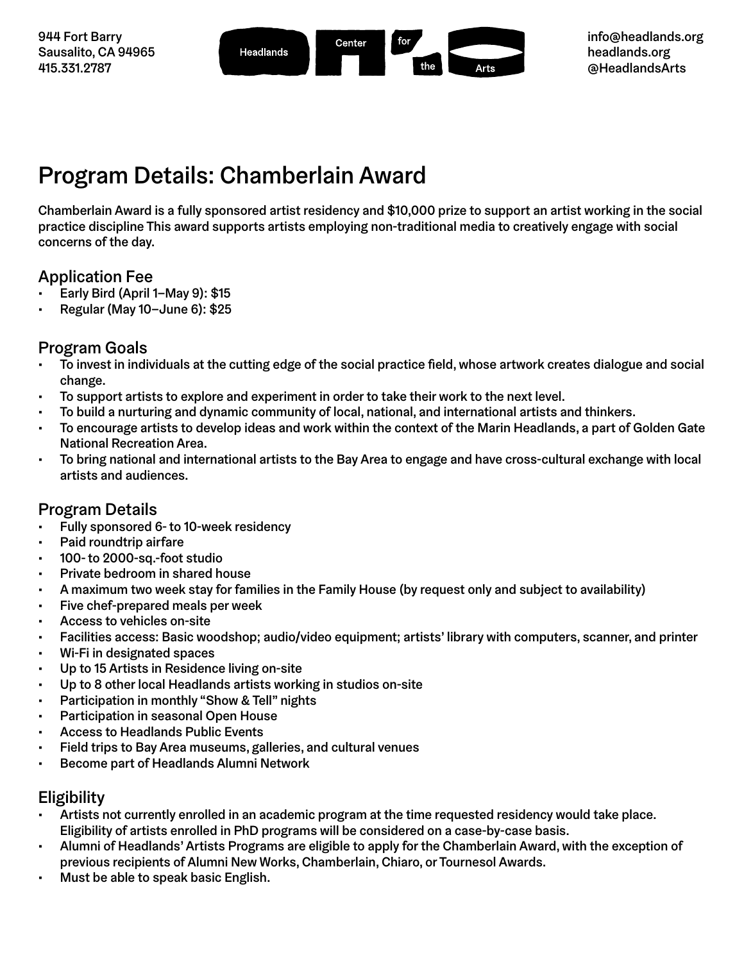

# Program Details: Chamberlain Award

Chamberlain Award is a fully sponsored artist residency and \$10,000 prize to support an artist working in the social practice discipline This award supports artists employing non-traditional media to creatively engage with social concerns of the day.

### Application Fee

- Early Bird (April 1–May 9): \$15
- Regular (May 10–June 6): \$25

### Program Goals

- To invest in individuals at the cutting edge of the social practice field, whose artwork creates dialogue and social change.
- To support artists to explore and experiment in order to take their work to the next level.
- To build a nurturing and dynamic community of local, national, and international artists and thinkers.
- To encourage artists to develop ideas and work within the context of the Marin Headlands, a part of Golden Gate National Recreation Area.
- To bring national and international artists to the Bay Area to engage and have cross-cultural exchange with local artists and audiences.

### Program Details

- Fully sponsored 6- to 10-week residency
- Paid roundtrip airfare
- 100- to 2000-sq.-foot studio
- Private bedroom in shared house
- A maximum two week stay for families in the Family House (by request only and subject to availability)
- Five chef-prepared meals per week
- Access to vehicles on-site
- Facilities access: Basic woodshop; audio/video equipment; artists' library with computers, scanner, and printer
- Wi-Fi in designated spaces
- Up to 15 Artists in Residence living on-site
- Up to 8 other local Headlands artists working in studios on-site
- Participation in monthly "Show & Tell" nights
- Participation in seasonal Open House
- Access to Headlands Public Events
- Field trips to Bay Area museums, galleries, and cultural venues
- Become part of Headlands Alumni Network

#### Eligibility

- Artists not currently enrolled in an academic program at the time requested residency would take place. Eligibility of artists enrolled in PhD programs will be considered on a case-by-case basis.
- Alumni of Headlands' Artists Programs are eligible to apply for the Chamberlain Award, with the exception of previous recipients of Alumni New Works, Chamberlain, Chiaro, or Tournesol Awards.
- Must be able to speak basic English.